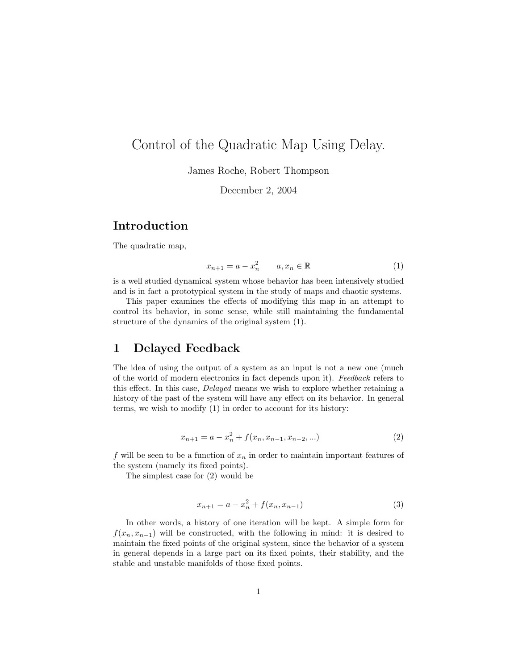# Control of the Quadratic Map Using Delay.

James Roche, Robert Thompson

December 2, 2004

## Introduction

The quadratic map,

$$
x_{n+1} = a - x_n^2 \qquad a, x_n \in \mathbb{R} \tag{1}
$$

is a well studied dynamical system whose behavior has been intensively studied and is in fact a prototypical system in the study of maps and chaotic systems.

This paper examines the effects of modifying this map in an attempt to control its behavior, in some sense, while still maintaining the fundamental structure of the dynamics of the original system (1).

### 1 Delayed Feedback

The idea of using the output of a system as an input is not a new one (much of the world of modern electronics in fact depends upon it). Feedback refers to this effect. In this case, Delayed means we wish to explore whether retaining a history of the past of the system will have any effect on its behavior. In general terms, we wish to modify (1) in order to account for its history:

$$
x_{n+1} = a - x_n^2 + f(x_n, x_{n-1}, x_{n-2}, \ldots)
$$
 (2)

f will be seen to be a function of  $x_n$  in order to maintain important features of the system (namely its fixed points).

The simplest case for (2) would be

$$
x_{n+1} = a - x_n^2 + f(x_n, x_{n-1})
$$
\n(3)

In other words, a history of one iteration will be kept. A simple form for  $f(x_n, x_{n-1})$  will be constructed, with the following in mind: it is desired to maintain the fixed points of the original system, since the behavior of a system in general depends in a large part on its fixed points, their stability, and the stable and unstable manifolds of those fixed points.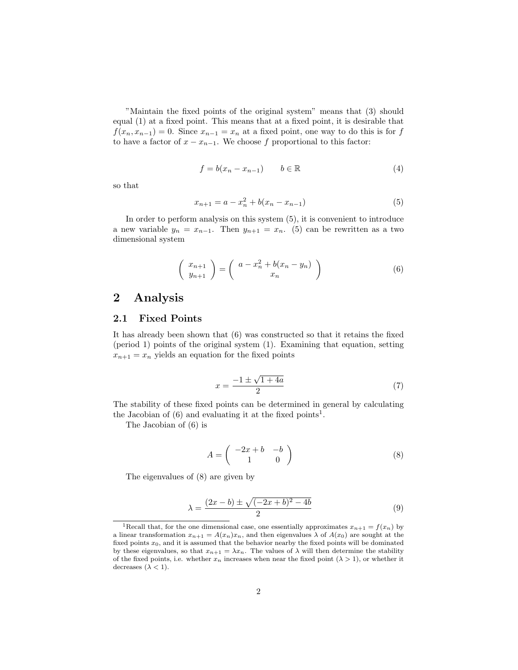"Maintain the fixed points of the original system" means that (3) should equal (1) at a fixed point. This means that at a fixed point, it is desirable that  $f(x_n, x_{n-1}) = 0$ . Since  $x_{n-1} = x_n$  at a fixed point, one way to do this is for f to have a factor of  $x - x_{n-1}$ . We choose f proportional to this factor:

$$
f = b(x_n - x_{n-1}) \qquad b \in \mathbb{R} \tag{4}
$$

so that

$$
x_{n+1} = a - x_n^2 + b(x_n - x_{n-1})
$$
\n(5)

In order to perform analysis on this system (5), it is convenient to introduce a new variable  $y_n = x_{n-1}$ . Then  $y_{n+1} = x_n$ . (5) can be rewritten as a two dimensional system

$$
\left(\begin{array}{c} x_{n+1} \\ y_{n+1} \end{array}\right) = \left(\begin{array}{c} a - x_n^2 + b(x_n - y_n) \\ x_n \end{array}\right) \tag{6}
$$

### 2 Analysis

### 2.1 Fixed Points

It has already been shown that (6) was constructed so that it retains the fixed (period 1) points of the original system (1). Examining that equation, setting  $x_{n+1} = x_n$  yields an equation for the fixed points

$$
x = \frac{-1 \pm \sqrt{1 + 4a}}{2} \tag{7}
$$

The stability of these fixed points can be determined in general by calculating the Jacobian of  $(6)$  and evaluating it at the fixed points<sup>1</sup>.

The Jacobian of (6) is

$$
A = \begin{pmatrix} -2x + b & -b \\ 1 & 0 \end{pmatrix} \tag{8}
$$

The eigenvalues of (8) are given by

$$
\lambda = \frac{(2x - b) \pm \sqrt{(-2x + b)^2 - 4b}}{2} \tag{9}
$$

<sup>&</sup>lt;sup>1</sup>Recall that, for the one dimensional case, one essentially approximates  $x_{n+1} = f(x_n)$  by a linear transformation  $x_{n+1} = A(x_n)x_n$ , and then eigenvalues  $\lambda$  of  $A(x_0)$  are sought at the fixed points  $x_0$ , and it is assumed that the behavior nearby the fixed points will be dominated by these eigenvalues, so that  $x_{n+1} = \lambda x_n$ . The values of  $\lambda$  will then determine the stability of the fixed points, i.e. whether  $x_n$  increases when near the fixed point  $(\lambda > 1)$ , or whether it decreases  $(\lambda < 1)$ .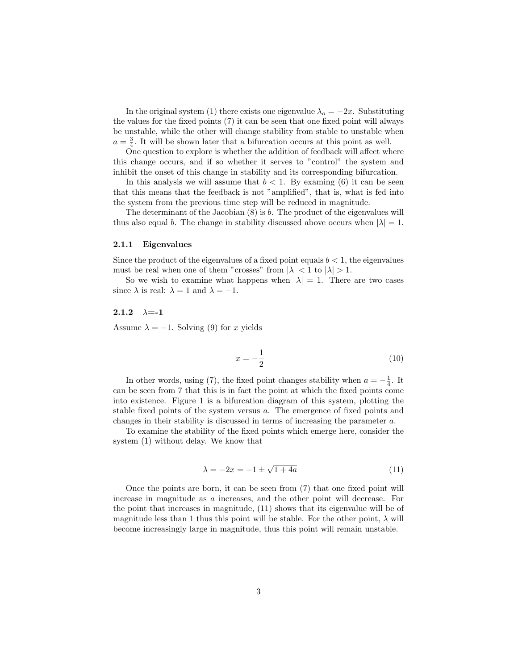In the original system (1) there exists one eigenvalue  $\lambda_o = -2x$ . Substituting the values for the fixed points (7) it can be seen that one fixed point will always be unstable, while the other will change stability from stable to unstable when  $a = \frac{3}{4}$ . It will be shown later that a bifurcation occurs at this point as well.

One question to explore is whether the addition of feedback will affect where this change occurs, and if so whether it serves to "control" the system and inhibit the onset of this change in stability and its corresponding bifurcation.

In this analysis we will assume that  $b < 1$ . By examing (6) it can be seen that this means that the feedback is not "amplified", that is, what is fed into the system from the previous time step will be reduced in magnitude.

The determinant of the Jacobian  $(8)$  is b. The product of the eigenvalues will thus also equal b. The change in stability discussed above occurs when  $|\lambda| = 1$ .

#### 2.1.1 Eigenvalues

Since the product of the eigenvalues of a fixed point equals  $b < 1$ , the eigenvalues must be real when one of them "crosses" from  $|\lambda| < 1$  to  $|\lambda| > 1$ .

So we wish to examine what happens when  $|\lambda| = 1$ . There are two cases since  $\lambda$  is real:  $\lambda = 1$  and  $\lambda = -1$ .

#### 2.1.2  $\lambda = -1$

Assume  $\lambda = -1$ . Solving (9) for x yields

$$
x = -\frac{1}{2} \tag{10}
$$

In other words, using (7), the fixed point changes stability when  $a = -\frac{1}{4}$ . It can be seen from 7 that this is in fact the point at which the fixed points come into existence. Figure 1 is a bifurcation diagram of this system, plotting the stable fixed points of the system versus a. The emergence of fixed points and changes in their stability is discussed in terms of increasing the parameter a.

To examine the stability of the fixed points which emerge here, consider the system (1) without delay. We know that

$$
\lambda = -2x = -1 \pm \sqrt{1+4a} \tag{11}
$$

Once the points are born, it can be seen from (7) that one fixed point will increase in magnitude as a increases, and the other point will decrease. For the point that increases in magnitude, (11) shows that its eigenvalue will be of magnitude less than 1 thus this point will be stable. For the other point,  $\lambda$  will become increasingly large in magnitude, thus this point will remain unstable.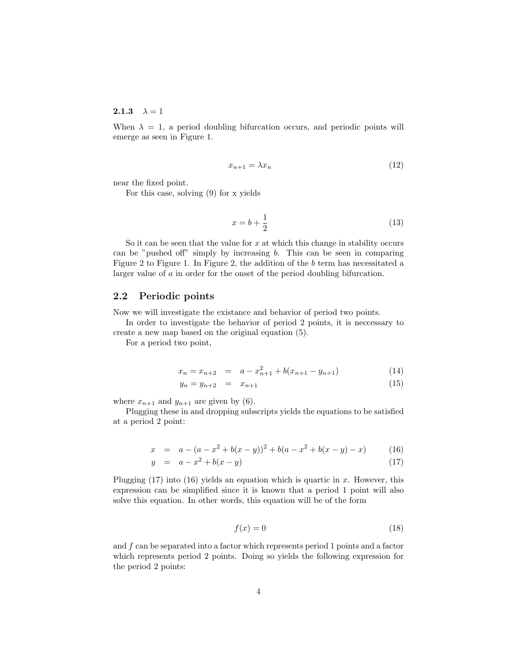#### **2.1.3**  $\lambda = 1$

When  $\lambda = 1$ , a period doubling bifurcation occurs, and periodic points will emerge as seen in Figure 1.

$$
x_{n+1} = \lambda x_n \tag{12}
$$

near the fixed point.

For this case, solving (9) for x yields

$$
x = b + \frac{1}{2} \tag{13}
$$

So it can be seen that the value for  $x$  at which this change in stability occurs can be "pushed off" simply by increasing b. This can be seen in comparing Figure 2 to Figure 1. In Figure 2, the addition of the b term has necessitated a larger value of a in order for the onset of the period doubling bifurcation.

#### 2.2 Periodic points

Now we will investigate the existance and behavior of period two points.

In order to investigate the behavior of period 2 points, it is neccessary to create a new map based on the original equation (5).

For a period two point,

$$
x_n = x_{n+2} = a - x_{n+1}^2 + b(x_{n+1} - y_{n+1})
$$
\n(14)

$$
y_n = y_{n+2} = x_{n+1} \tag{15}
$$

where  $x_{n+1}$  and  $y_{n+1}$  are given by (6).

Plugging these in and dropping subscripts yields the equations to be satisfied at a period 2 point:

$$
x = a - (a - x2 + b(x - y))2 + b(a - x2 + b(x - y) - x)
$$
 (16)

$$
y = a - x^2 + b(x - y) \tag{17}
$$

Plugging  $(17)$  into  $(16)$  yields an equation which is quartic in x. However, this expression can be simplified since it is known that a period 1 point will also solve this equation. In other words, this equation will be of the form

$$
f(x) = 0\tag{18}
$$

and  $f$  can be separated into a factor which represents period 1 points and a factor which represents period 2 points. Doing so yields the following expression for the period 2 points: